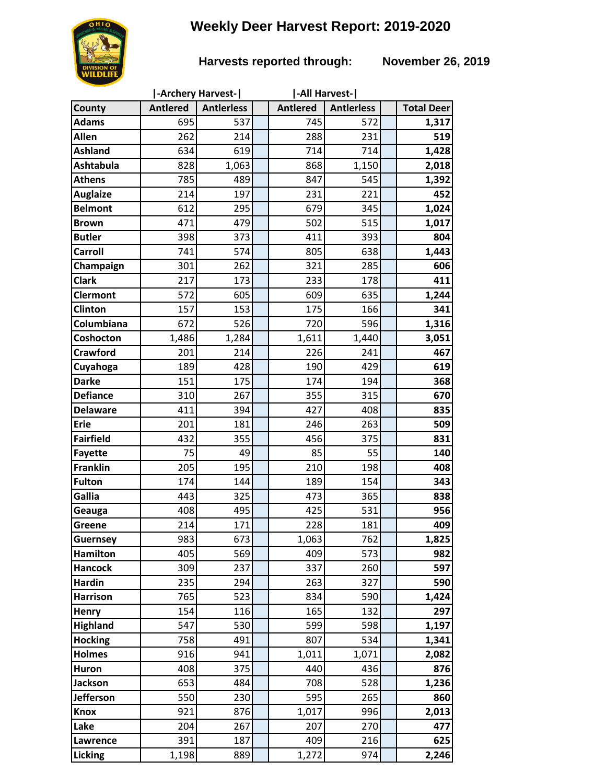# **Weekly Deer Harvest Report: 2019-2020**

## **Harvests reported through: November 26, 2019**

|                                   |                 | -Archery Harvest- | -All Harvest-   |                   |                   |
|-----------------------------------|-----------------|-------------------|-----------------|-------------------|-------------------|
| County                            | <b>Antlered</b> | <b>Antlerless</b> | <b>Antlered</b> | <b>Antlerless</b> | <b>Total Deer</b> |
| <b>Adams</b>                      | 695             | 537               | 745             | 572               | 1,317             |
| Allen                             | 262             | 214               | 288             | 231               | 519               |
| <b>Ashland</b>                    | 634             | 619               | 714             | 714               | 1,428             |
| <b>Ashtabula</b>                  | 828             | 1,063             | 868             | 1,150             | 2,018             |
| <b>Athens</b>                     | 785             | 489               | 847             | 545               | 1,392             |
| <b>Auglaize</b>                   | 214             | 197               | 231             | 221               | 452               |
| <b>Belmont</b>                    | 612             | 295               | 679             | 345               | 1,024             |
| <b>Brown</b>                      | 471             | 479               | 502             | 515               | 1,017             |
| <b>Butler</b>                     | 398             | 373               | 411             | 393               | 804               |
| Carroll                           | 741             | 574               | 805             | 638               | 1,443             |
| Champaign                         | 301             | 262               | 321             | 285               | 606               |
| <b>Clark</b>                      | 217             | 173               | 233             | 178               | 411               |
| <b>Clermont</b>                   | 572             | 605               | 609             | 635               | 1,244             |
| <b>Clinton</b>                    | 157             | 153               | 175             | 166               | 341               |
| Columbiana                        | 672             | 526               | 720             | 596               | 1,316             |
| Coshocton                         | 1,486           | 1,284             | 1,611           | 1,440             | 3,051             |
| <b>Crawford</b>                   | 201             | 214               | 226             | 241               | 467               |
| Cuyahoga                          | 189             | 428               | 190             | 429               | 619               |
| <b>Darke</b>                      | 151             | 175               | 174             | 194               | 368               |
| <b>Defiance</b>                   | 310             | 267               | 355             | 315               | 670               |
| <b>Delaware</b>                   | 411             | 394               | 427             | 408               | 835               |
| <b>Erie</b>                       | 201             | 181               | 246             | 263               | 509               |
| <b>Fairfield</b>                  | 432             | 355<br>49         | 456             | 375               | 831               |
| <b>Fayette</b><br><b>Franklin</b> | 75<br>205       | 195               | 85<br>210       | 55<br>198         | 140<br>408        |
| <b>Fulton</b>                     | 174             | 144               | 189             | 154               | 343               |
| Gallia                            | 443             | 325               | 473             | 365               | 838               |
| Geauga                            | 408             | 495               | 425             | 531               | 956               |
| Greene                            | 214             | 171               | 228             | 181               | 409               |
| <b>Guernsey</b>                   | 983             | 673               | 1,063           | 762               | 1,825             |
| <b>Hamilton</b>                   | 405             | 569               | 409             | 573               | 982               |
| <b>Hancock</b>                    | 309             | 237               | 337             | 260               | 597               |
| <b>Hardin</b>                     | 235             | 294               | 263             | 327               | 590               |
| <b>Harrison</b>                   | 765             | 523               | 834             | 590               | 1,424             |
| Henry                             | 154             | 116               | 165             | 132               | 297               |
| <b>Highland</b>                   | 547             | 530               | 599             | 598               | 1,197             |
| <b>Hocking</b>                    | 758             | 491               | 807             | 534               | 1,341             |
| <b>Holmes</b>                     | 916             | 941               | 1,011           | 1,071             | 2,082             |
| Huron                             | 408             | 375               | 440             | 436               | 876               |
| <b>Jackson</b>                    | 653             | 484               | 708             | 528               | 1,236             |
| Jefferson                         | 550             | 230               | 595             | 265               | 860               |
| <b>Knox</b>                       | 921             | 876               | 1,017           | 996               | 2,013             |
| Lake                              | 204             | 267               | 207             | 270               | 477               |
| Lawrence                          | 391             | 187               | 409             | 216               | 625               |
| Licking                           | 1,198           | 889               | 1,272           | 974               | 2,246             |